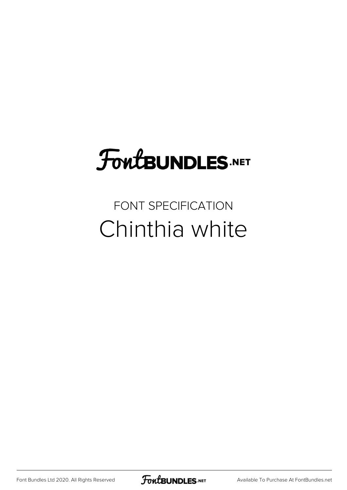## **FoutBUNDLES.NET**

FONT SPECIFICATION Chinthia white

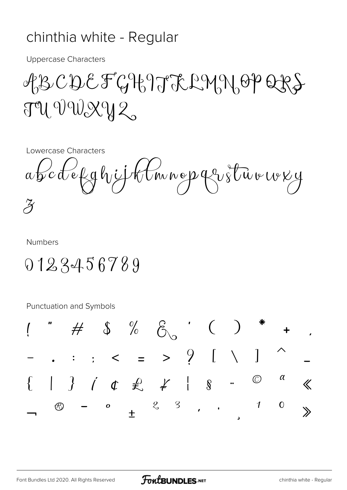## chinthia white - Regular

**Uppercase Characters** 

## ABCDEFGHJJERMNOPERS  $T^2U$  VWXY2

Lowercase Characters

abcdefghjjklmnopqrstuvwxy  $\cancel{Z}$ 

**Numbers** 

## 0123456789

Punctuation and Symbols

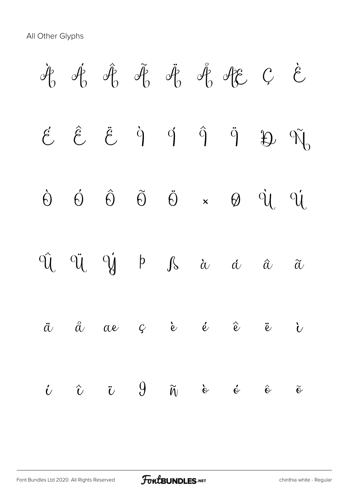All Other Glyphs

 $\hat{\mathcal{A}}_0$   $\hat{\mathcal{A}}_0$   $\hat{\mathcal{A}}_0$   $\hat{\mathcal{A}}_0$   $\hat{\mathcal{A}}_0$   $\hat{\mathcal{A}}_0$   $\hat{\mathcal{A}}_0$   $\hat{\mathcal{C}}$   $\hat{\mathcal{C}}$  $\acute{e}$   $\acute{e}$   $\ddot{e}$   $\dot{q}$   $\acute{q}$   $\ddot{q}$   $\ddot{q}$   $\ddot{p}$   $\ddot{q}$ Ò Ó Ô Õ Ö × Ø Ù Ú  $\hat{U}$   $\ddot{U}$   $\ddot{V}$   $\dot{V}$  b  $\int$  à à  $\dot{\alpha}$   $\ddot{\alpha}$   $\ddot{\alpha}$  $\ddot{a}$   $\ddot{a}$   $\alpha$  c  $\ddot{c}$   $\ddot{e}$   $\ddot{c}$   $\ddot{c}$   $\ddot{c}$  $\dot{\mathbf{c}}$   $\hat{\mathbf{c}}$   $\ddot{\mathbf{c}}$   $\mathbf{0}$   $\tilde{\mathbf{w}}$   $\dot{\mathbf{c}}$   $\dot{\mathbf{c}}$   $\ddot{\mathbf{c}}$   $\ddot{\mathbf{c}}$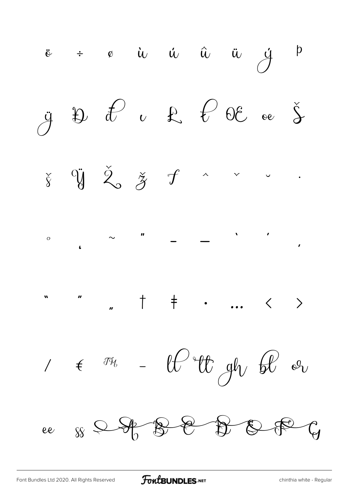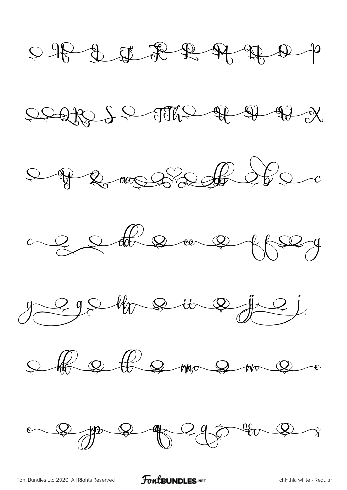$\begin{picture}(130,10) \put(0,0){\line(1,0){10}} \put(15,0){\line(1,0){10}} \put(15,0){\line(1,0){10}} \put(15,0){\line(1,0){10}} \put(15,0){\line(1,0){10}} \put(15,0){\line(1,0){10}} \put(15,0){\line(1,0){10}} \put(15,0){\line(1,0){10}} \put(15,0){\line(1,0){10}} \put(15,0){\line(1,0){10}} \put(15,0){\line(1,0){10}} \put(15,0){\line($